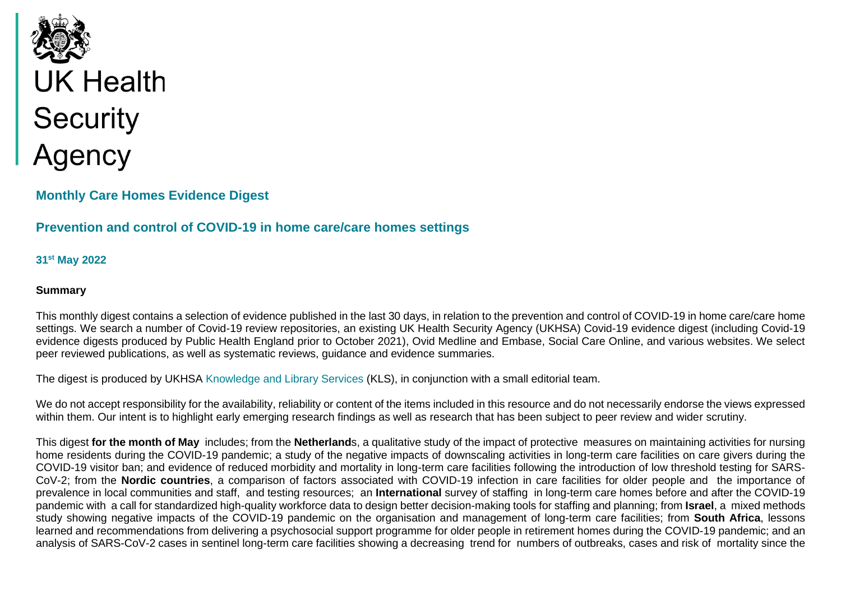

# **Monthly Care Homes Evidence Digest**

# **Prevention and control of COVID-19 in home care/care homes settings**

**31st May 2022** 

#### **Summary**

This monthly digest contains a selection of evidence published in the last 30 days, in relation to the prevention and control of COVID-19 in home care/care home settings. We search a number of Covid-19 review repositories, an existing UK Health Security Agency (UKHSA) Covid-19 evidence digest (including Covid-19 evidence digests produced by Public Health England prior to October 2021), Ovid Medline and Embase, Social Care Online, and various websites. We select peer reviewed publications, as well as systematic reviews, guidance and evidence summaries.

The digest is produced by UKHSA [Knowledge and Library Services](https://ukhsalibrary.koha-ptfs.co.uk/) (KLS), in conjunction with a small editorial team.

We do not accept responsibility for the availability, reliability or content of the items included in this resource and do not necessarily endorse the views expressed within them. Our intent is to highlight early emerging research findings as well as research that has been subject to peer review and wider scrutiny.

This digest **for the month of May** includes; from the **Netherland**s, a qualitative study of the impact of protective measures on maintaining activities for nursing home residents during the COVID-19 pandemic; a study of the negative impacts of downscaling activities in long-term care facilities on care givers during the COVID-19 visitor ban; and evidence of reduced morbidity and mortality in long-term care facilities following the introduction of low threshold testing for SARS-CoV-2; from the **Nordic countries**, a comparison of factors associated with COVID-19 infection in care facilities for older people and the importance of prevalence in local communities and staff, and testing resources; an **International** survey of staffing in long-term care homes before and after the COVID-19 pandemic with a call for standardized high-quality workforce data to design better decision-making tools for staffing and planning; from **Israel**, a mixed methods study showing negative impacts of the COVID-19 pandemic on the organisation and management of long-term care facilities; from **South Africa**, lessons learned and recommendations from delivering a psychosocial support programme for older people in retirement homes during the COVID-19 pandemic; and an analysis of SARS-CoV-2 cases in sentinel long-term care facilities showing a decreasing trend for numbers of outbreaks, cases and risk of mortality since the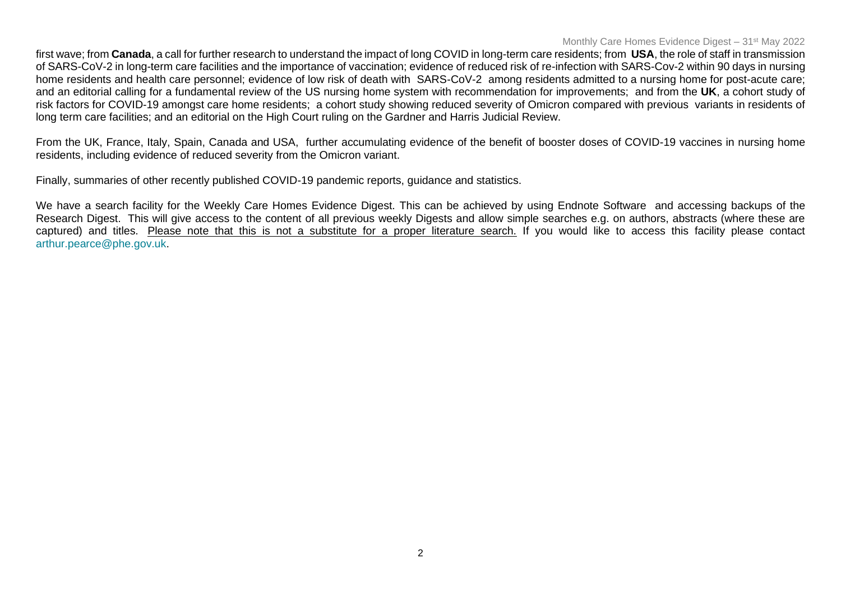#### Monthly Care Homes Evidence Digest – 31st May 2022

first wave; from **Canada**, a call for further research to understand the impact of long COVID in long-term care residents; from **USA**, the role of staff in transmission of SARS-CoV-2 in long-term care facilities and the importance of vaccination; evidence of reduced risk of re-infection with SARS-Cov-2 within 90 days in nursing home residents and health care personnel; evidence of low risk of death with SARS-CoV-2 among residents admitted to a nursing home for post-acute care; and an editorial calling for a fundamental review of the US nursing home system with recommendation for improvements; and from the **UK**, a cohort study of risk factors for COVID-19 amongst care home residents; a cohort study showing reduced severity of Omicron compared with previous variants in residents of long term care facilities; and an editorial on the High Court ruling on the Gardner and Harris Judicial Review.

From the UK, France, Italy, Spain, Canada and USA, further accumulating evidence of the benefit of booster doses of COVID-19 vaccines in nursing home residents, including evidence of reduced severity from the Omicron variant.

Finally, summaries of other recently published COVID-19 pandemic reports, guidance and statistics.

We have a search facility for the Weekly Care Homes Evidence Digest. This can be achieved by using Endnote Software and accessing backups of the Research Digest. This will give access to the content of all previous weekly Digests and allow simple searches e.g. on authors, abstracts (where these are captured) and titles. Please note that this is not a substitute for a proper literature search. If you would like to access this facility please contact [arthur.pearce@phe.gov.uk.](mailto:arthur.pearce@phe.gov.uk)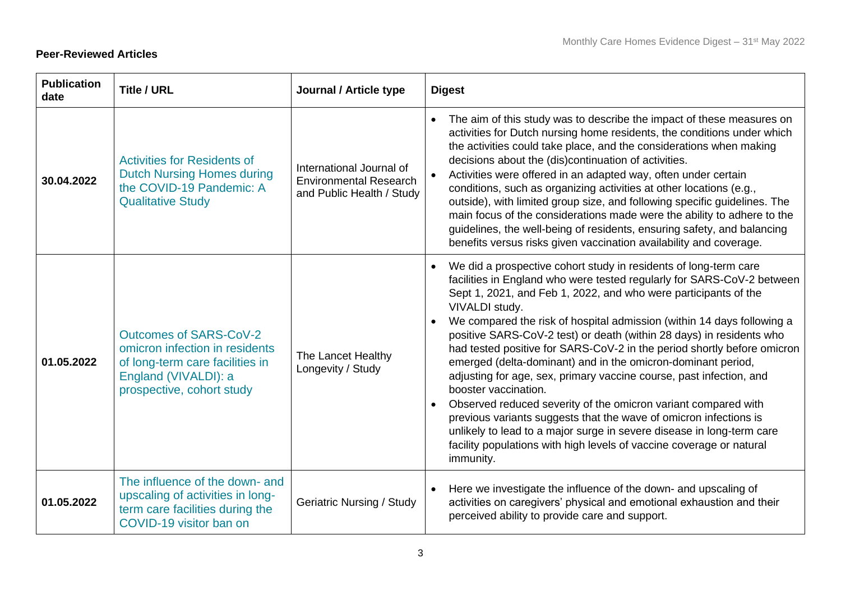### **Peer-Reviewed Articles**

| <b>Publication</b><br>date | <b>Title / URL</b>                                                                                                                                      | Journal / Article type                                                                 | <b>Digest</b>                                                                                                                                                                                                                                                                                                                                                                                                                                                                                                                                                                                                                                                                                                                                                                                                                                                                                                                    |
|----------------------------|---------------------------------------------------------------------------------------------------------------------------------------------------------|----------------------------------------------------------------------------------------|----------------------------------------------------------------------------------------------------------------------------------------------------------------------------------------------------------------------------------------------------------------------------------------------------------------------------------------------------------------------------------------------------------------------------------------------------------------------------------------------------------------------------------------------------------------------------------------------------------------------------------------------------------------------------------------------------------------------------------------------------------------------------------------------------------------------------------------------------------------------------------------------------------------------------------|
| 30.04.2022                 | <b>Activities for Residents of</b><br><b>Dutch Nursing Homes during</b><br>the COVID-19 Pandemic: A<br><b>Qualitative Study</b>                         | International Journal of<br><b>Environmental Research</b><br>and Public Health / Study | The aim of this study was to describe the impact of these measures on<br>activities for Dutch nursing home residents, the conditions under which<br>the activities could take place, and the considerations when making<br>decisions about the (dis)continuation of activities.<br>Activities were offered in an adapted way, often under certain<br>conditions, such as organizing activities at other locations (e.g.,<br>outside), with limited group size, and following specific guidelines. The<br>main focus of the considerations made were the ability to adhere to the<br>guidelines, the well-being of residents, ensuring safety, and balancing<br>benefits versus risks given vaccination availability and coverage.                                                                                                                                                                                                |
| 01.05.2022                 | <b>Outcomes of SARS-CoV-2</b><br>omicron infection in residents<br>of long-term care facilities in<br>England (VIVALDI): a<br>prospective, cohort study | The Lancet Healthy<br>Longevity / Study                                                | We did a prospective cohort study in residents of long-term care<br>facilities in England who were tested regularly for SARS-CoV-2 between<br>Sept 1, 2021, and Feb 1, 2022, and who were participants of the<br>VIVALDI study.<br>We compared the risk of hospital admission (within 14 days following a<br>positive SARS-CoV-2 test) or death (within 28 days) in residents who<br>had tested positive for SARS-CoV-2 in the period shortly before omicron<br>emerged (delta-dominant) and in the omicron-dominant period,<br>adjusting for age, sex, primary vaccine course, past infection, and<br>booster vaccination.<br>Observed reduced severity of the omicron variant compared with<br>previous variants suggests that the wave of omicron infections is<br>unlikely to lead to a major surge in severe disease in long-term care<br>facility populations with high levels of vaccine coverage or natural<br>immunity. |
| 01.05.2022                 | The influence of the down- and<br>upscaling of activities in long-<br>term care facilities during the<br>COVID-19 visitor ban on                        | <b>Geriatric Nursing / Study</b>                                                       | Here we investigate the influence of the down- and upscaling of<br>activities on caregivers' physical and emotional exhaustion and their<br>perceived ability to provide care and support.                                                                                                                                                                                                                                                                                                                                                                                                                                                                                                                                                                                                                                                                                                                                       |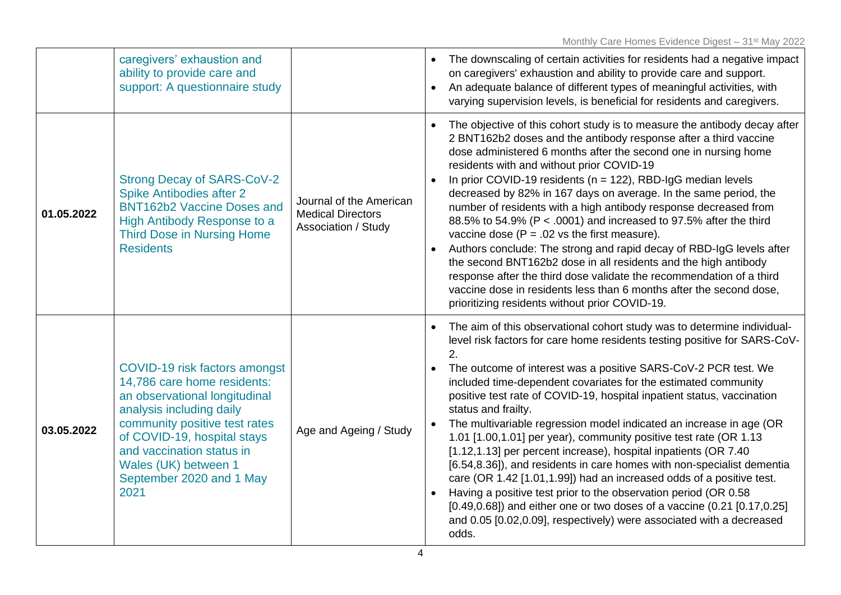|            | caregivers' exhaustion and<br>ability to provide care and<br>support: A questionnaire study                                                                                                                                                                                        |                                                                            | The downscaling of certain activities for residents had a negative impact<br>on caregivers' exhaustion and ability to provide care and support.<br>An adequate balance of different types of meaningful activities, with<br>varying supervision levels, is beneficial for residents and caregivers.                                                                                                                                                                                                                                                                                                                                                                                                                                                                                                                                                                                                                                                                                                                  |
|------------|------------------------------------------------------------------------------------------------------------------------------------------------------------------------------------------------------------------------------------------------------------------------------------|----------------------------------------------------------------------------|----------------------------------------------------------------------------------------------------------------------------------------------------------------------------------------------------------------------------------------------------------------------------------------------------------------------------------------------------------------------------------------------------------------------------------------------------------------------------------------------------------------------------------------------------------------------------------------------------------------------------------------------------------------------------------------------------------------------------------------------------------------------------------------------------------------------------------------------------------------------------------------------------------------------------------------------------------------------------------------------------------------------|
| 01.05.2022 | <b>Strong Decay of SARS-CoV-2</b><br><b>Spike Antibodies after 2</b><br><b>BNT162b2 Vaccine Doses and</b><br>High Antibody Response to a<br><b>Third Dose in Nursing Home</b><br><b>Residents</b>                                                                                  | Journal of the American<br><b>Medical Directors</b><br>Association / Study | The objective of this cohort study is to measure the antibody decay after<br>2 BNT162b2 doses and the antibody response after a third vaccine<br>dose administered 6 months after the second one in nursing home<br>residents with and without prior COVID-19<br>In prior COVID-19 residents ( $n = 122$ ), RBD-IgG median levels<br>decreased by 82% in 167 days on average. In the same period, the<br>number of residents with a high antibody response decreased from<br>88.5% to 54.9% (P < .0001) and increased to 97.5% after the third<br>vaccine dose ( $P = .02$ vs the first measure).<br>Authors conclude: The strong and rapid decay of RBD-IgG levels after<br>the second BNT162b2 dose in all residents and the high antibody<br>response after the third dose validate the recommendation of a third<br>vaccine dose in residents less than 6 months after the second dose,<br>prioritizing residents without prior COVID-19.                                                                        |
| 03.05.2022 | COVID-19 risk factors amongst<br>14,786 care home residents:<br>an observational longitudinal<br>analysis including daily<br>community positive test rates<br>of COVID-19, hospital stays<br>and vaccination status in<br>Wales (UK) between 1<br>September 2020 and 1 May<br>2021 | Age and Ageing / Study                                                     | The aim of this observational cohort study was to determine individual-<br>level risk factors for care home residents testing positive for SARS-CoV-<br>2.<br>The outcome of interest was a positive SARS-CoV-2 PCR test. We<br>$\bullet$<br>included time-dependent covariates for the estimated community<br>positive test rate of COVID-19, hospital inpatient status, vaccination<br>status and frailty.<br>The multivariable regression model indicated an increase in age (OR<br>1.01 [1.00,1.01] per year), community positive test rate (OR 1.13<br>[1.12,1.13] per percent increase), hospital inpatients (OR 7.40<br>[6.54,8.36]), and residents in care homes with non-specialist dementia<br>care (OR 1.42 [1.01,1.99]) had an increased odds of a positive test.<br>Having a positive test prior to the observation period (OR 0.58<br>$[0.49, 0.68]$ ) and either one or two doses of a vaccine $(0.21 [0.17, 0.25])$<br>and 0.05 [0.02,0.09], respectively) were associated with a decreased<br>odds. |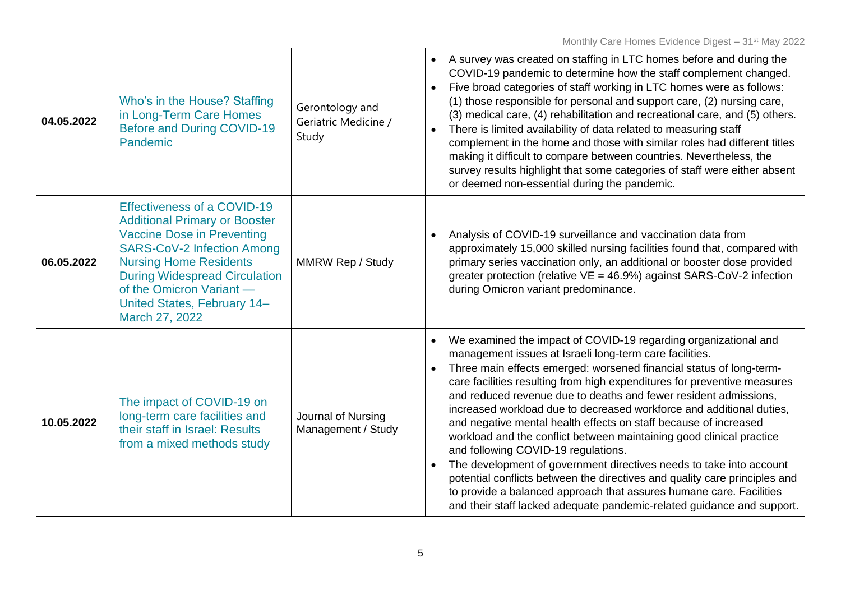| 04.05.2022 | Who's in the House? Staffing<br>in Long-Term Care Homes<br><b>Before and During COVID-19</b><br>Pandemic                                                                                                                                                                                                   | Gerontology and<br>Geriatric Medicine /<br>Study | A survey was created on staffing in LTC homes before and during the<br>$\bullet$<br>COVID-19 pandemic to determine how the staff complement changed.<br>Five broad categories of staff working in LTC homes were as follows:<br>(1) those responsible for personal and support care, (2) nursing care,<br>(3) medical care, (4) rehabilitation and recreational care, and (5) others.<br>There is limited availability of data related to measuring staff<br>complement in the home and those with similar roles had different titles<br>making it difficult to compare between countries. Nevertheless, the<br>survey results highlight that some categories of staff were either absent<br>or deemed non-essential during the pandemic.                                                                                                                                                                                       |
|------------|------------------------------------------------------------------------------------------------------------------------------------------------------------------------------------------------------------------------------------------------------------------------------------------------------------|--------------------------------------------------|---------------------------------------------------------------------------------------------------------------------------------------------------------------------------------------------------------------------------------------------------------------------------------------------------------------------------------------------------------------------------------------------------------------------------------------------------------------------------------------------------------------------------------------------------------------------------------------------------------------------------------------------------------------------------------------------------------------------------------------------------------------------------------------------------------------------------------------------------------------------------------------------------------------------------------|
| 06.05.2022 | <b>Effectiveness of a COVID-19</b><br><b>Additional Primary or Booster</b><br><b>Vaccine Dose in Preventing</b><br><b>SARS-CoV-2 Infection Among</b><br><b>Nursing Home Residents</b><br><b>During Widespread Circulation</b><br>of the Omicron Variant -<br>United States, February 14-<br>March 27, 2022 | <b>MMRW Rep / Study</b>                          | Analysis of COVID-19 surveillance and vaccination data from<br>approximately 15,000 skilled nursing facilities found that, compared with<br>primary series vaccination only, an additional or booster dose provided<br>greater protection (relative $VE = 46.9\%$ ) against SARS-CoV-2 infection<br>during Omicron variant predominance.                                                                                                                                                                                                                                                                                                                                                                                                                                                                                                                                                                                        |
| 10.05.2022 | The impact of COVID-19 on<br>long-term care facilities and<br>their staff in Israel: Results<br>from a mixed methods study                                                                                                                                                                                 | Journal of Nursing<br>Management / Study         | We examined the impact of COVID-19 regarding organizational and<br>$\bullet$<br>management issues at Israeli long-term care facilities.<br>Three main effects emerged: worsened financial status of long-term-<br>care facilities resulting from high expenditures for preventive measures<br>and reduced revenue due to deaths and fewer resident admissions,<br>increased workload due to decreased workforce and additional duties,<br>and negative mental health effects on staff because of increased<br>workload and the conflict between maintaining good clinical practice<br>and following COVID-19 regulations.<br>The development of government directives needs to take into account<br>potential conflicts between the directives and quality care principles and<br>to provide a balanced approach that assures humane care. Facilities<br>and their staff lacked adequate pandemic-related guidance and support. |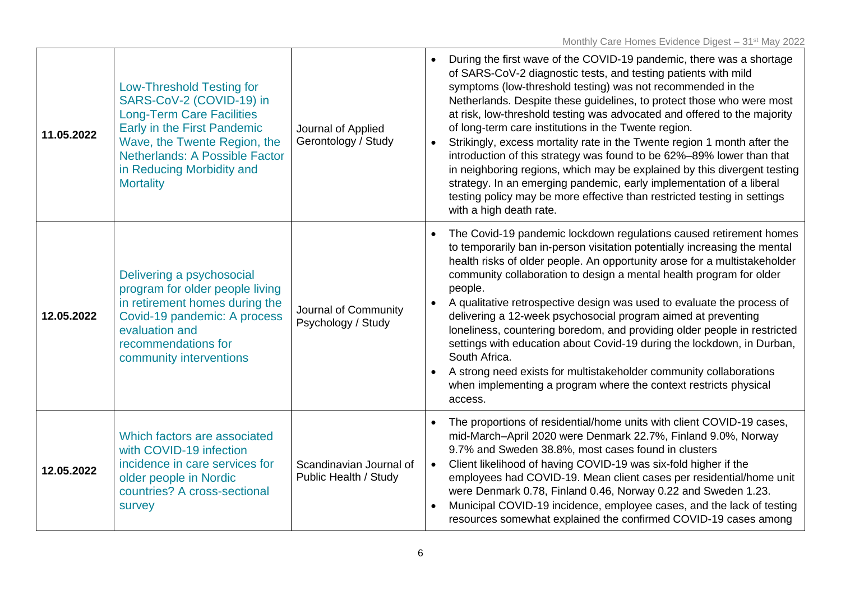| 11.05.2022 | <b>Low-Threshold Testing for</b><br>SARS-CoV-2 (COVID-19) in<br><b>Long-Term Care Facilities</b><br>Early in the First Pandemic<br>Wave, the Twente Region, the<br><b>Netherlands: A Possible Factor</b><br>in Reducing Morbidity and<br><b>Mortality</b> | Journal of Applied<br>Gerontology / Study        | During the first wave of the COVID-19 pandemic, there was a shortage<br>of SARS-CoV-2 diagnostic tests, and testing patients with mild<br>symptoms (low-threshold testing) was not recommended in the<br>Netherlands. Despite these guidelines, to protect those who were most<br>at risk, low-threshold testing was advocated and offered to the majority<br>of long-term care institutions in the Twente region.<br>Strikingly, excess mortality rate in the Twente region 1 month after the<br>introduction of this strategy was found to be 62%-89% lower than that<br>in neighboring regions, which may be explained by this divergent testing<br>strategy. In an emerging pandemic, early implementation of a liberal<br>testing policy may be more effective than restricted testing in settings<br>with a high death rate. |
|------------|-----------------------------------------------------------------------------------------------------------------------------------------------------------------------------------------------------------------------------------------------------------|--------------------------------------------------|------------------------------------------------------------------------------------------------------------------------------------------------------------------------------------------------------------------------------------------------------------------------------------------------------------------------------------------------------------------------------------------------------------------------------------------------------------------------------------------------------------------------------------------------------------------------------------------------------------------------------------------------------------------------------------------------------------------------------------------------------------------------------------------------------------------------------------|
| 12.05.2022 | Delivering a psychosocial<br>program for older people living<br>in retirement homes during the<br>Covid-19 pandemic: A process<br>evaluation and<br>recommendations for<br>community interventions                                                        | Journal of Community<br>Psychology / Study       | The Covid-19 pandemic lockdown regulations caused retirement homes<br>to temporarily ban in-person visitation potentially increasing the mental<br>health risks of older people. An opportunity arose for a multistakeholder<br>community collaboration to design a mental health program for older<br>people.<br>A qualitative retrospective design was used to evaluate the process of<br>$\bullet$<br>delivering a 12-week psychosocial program aimed at preventing<br>loneliness, countering boredom, and providing older people in restricted<br>settings with education about Covid-19 during the lockdown, in Durban,<br>South Africa.<br>A strong need exists for multistakeholder community collaborations<br>when implementing a program where the context restricts physical<br>access.                                 |
| 12.05.2022 | Which factors are associated<br>with COVID-19 infection<br>incidence in care services for<br>older people in Nordic<br>countries? A cross-sectional<br>survey                                                                                             | Scandinavian Journal of<br>Public Health / Study | The proportions of residential/home units with client COVID-19 cases,<br>mid-March-April 2020 were Denmark 22.7%, Finland 9.0%, Norway<br>9.7% and Sweden 38.8%, most cases found in clusters<br>Client likelihood of having COVID-19 was six-fold higher if the<br>$\bullet$<br>employees had COVID-19. Mean client cases per residential/home unit<br>were Denmark 0.78, Finland 0.46, Norway 0.22 and Sweden 1.23.<br>Municipal COVID-19 incidence, employee cases, and the lack of testing<br>resources somewhat explained the confirmed COVID-19 cases among                                                                                                                                                                                                                                                                  |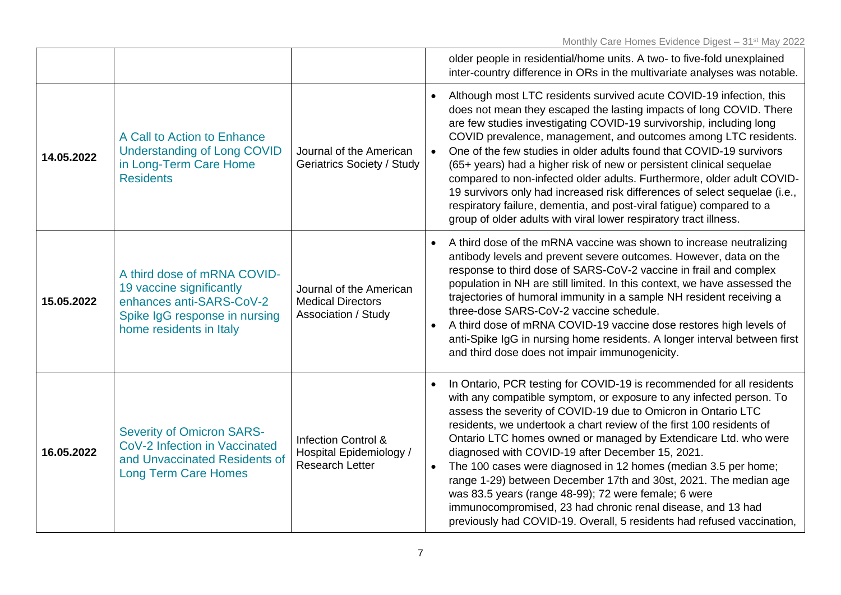|            |                                                                                                                                                 |                                                                                     | older people in residential/home units. A two- to five-fold unexplained<br>inter-country difference in ORs in the multivariate analyses was notable.                                                                                                                                                                                                                                                                                                                                                                                                                                                                                                                                                                                                |
|------------|-------------------------------------------------------------------------------------------------------------------------------------------------|-------------------------------------------------------------------------------------|-----------------------------------------------------------------------------------------------------------------------------------------------------------------------------------------------------------------------------------------------------------------------------------------------------------------------------------------------------------------------------------------------------------------------------------------------------------------------------------------------------------------------------------------------------------------------------------------------------------------------------------------------------------------------------------------------------------------------------------------------------|
| 14.05.2022 | A Call to Action to Enhance<br><b>Understanding of Long COVID</b><br>in Long-Term Care Home<br><b>Residents</b>                                 | Journal of the American<br>Geriatrics Society / Study                               | Although most LTC residents survived acute COVID-19 infection, this<br>does not mean they escaped the lasting impacts of long COVID. There<br>are few studies investigating COVID-19 survivorship, including long<br>COVID prevalence, management, and outcomes among LTC residents.<br>One of the few studies in older adults found that COVID-19 survivors<br>(65+ years) had a higher risk of new or persistent clinical sequelae<br>compared to non-infected older adults. Furthermore, older adult COVID-<br>19 survivors only had increased risk differences of select sequelae (i.e.,<br>respiratory failure, dementia, and post-viral fatigue) compared to a<br>group of older adults with viral lower respiratory tract illness.           |
| 15.05.2022 | A third dose of mRNA COVID-<br>19 vaccine significantly<br>enhances anti-SARS-CoV-2<br>Spike IgG response in nursing<br>home residents in Italy | Journal of the American<br><b>Medical Directors</b><br>Association / Study          | A third dose of the mRNA vaccine was shown to increase neutralizing<br>antibody levels and prevent severe outcomes. However, data on the<br>response to third dose of SARS-CoV-2 vaccine in frail and complex<br>population in NH are still limited. In this context, we have assessed the<br>trajectories of humoral immunity in a sample NH resident receiving a<br>three-dose SARS-CoV-2 vaccine schedule.<br>A third dose of mRNA COVID-19 vaccine dose restores high levels of<br>anti-Spike IgG in nursing home residents. A longer interval between first<br>and third dose does not impair immunogenicity.                                                                                                                                  |
| 16.05.2022 | <b>Severity of Omicron SARS-</b><br>CoV-2 Infection in Vaccinated<br>and Unvaccinated Residents of<br><b>Long Term Care Homes</b>               | <b>Infection Control &amp;</b><br>Hospital Epidemiology /<br><b>Research Letter</b> | In Ontario, PCR testing for COVID-19 is recommended for all residents<br>with any compatible symptom, or exposure to any infected person. To<br>assess the severity of COVID-19 due to Omicron in Ontario LTC<br>residents, we undertook a chart review of the first 100 residents of<br>Ontario LTC homes owned or managed by Extendicare Ltd. who were<br>diagnosed with COVID-19 after December 15, 2021.<br>The 100 cases were diagnosed in 12 homes (median 3.5 per home;<br>range 1-29) between December 17th and 30st, 2021. The median age<br>was 83.5 years (range 48-99); 72 were female; 6 were<br>immunocompromised, 23 had chronic renal disease, and 13 had<br>previously had COVID-19. Overall, 5 residents had refused vaccination, |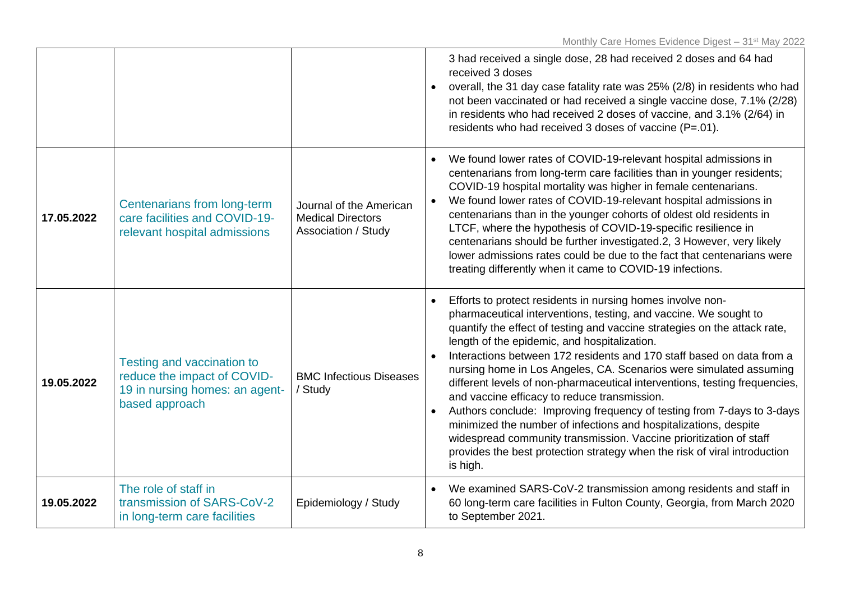|            |                                                                                                               |                                                                            | 3 had received a single dose, 28 had received 2 doses and 64 had<br>received 3 doses<br>overall, the 31 day case fatality rate was 25% (2/8) in residents who had<br>not been vaccinated or had received a single vaccine dose, 7.1% (2/28)<br>in residents who had received 2 doses of vaccine, and 3.1% (2/64) in<br>residents who had received 3 doses of vaccine (P=.01).                                                                                                                                                                                                                                                                                                                                                                                                                                                                         |
|------------|---------------------------------------------------------------------------------------------------------------|----------------------------------------------------------------------------|-------------------------------------------------------------------------------------------------------------------------------------------------------------------------------------------------------------------------------------------------------------------------------------------------------------------------------------------------------------------------------------------------------------------------------------------------------------------------------------------------------------------------------------------------------------------------------------------------------------------------------------------------------------------------------------------------------------------------------------------------------------------------------------------------------------------------------------------------------|
| 17.05.2022 | Centenarians from long-term<br>care facilities and COVID-19-<br>relevant hospital admissions                  | Journal of the American<br><b>Medical Directors</b><br>Association / Study | We found lower rates of COVID-19-relevant hospital admissions in<br>centenarians from long-term care facilities than in younger residents;<br>COVID-19 hospital mortality was higher in female centenarians.<br>We found lower rates of COVID-19-relevant hospital admissions in<br>centenarians than in the younger cohorts of oldest old residents in<br>LTCF, where the hypothesis of COVID-19-specific resilience in<br>centenarians should be further investigated.2, 3 However, very likely<br>lower admissions rates could be due to the fact that centenarians were<br>treating differently when it came to COVID-19 infections.                                                                                                                                                                                                              |
| 19.05.2022 | Testing and vaccination to<br>reduce the impact of COVID-<br>19 in nursing homes: an agent-<br>based approach | <b>BMC Infectious Diseases</b><br>/ Study                                  | Efforts to protect residents in nursing homes involve non-<br>pharmaceutical interventions, testing, and vaccine. We sought to<br>quantify the effect of testing and vaccine strategies on the attack rate,<br>length of the epidemic, and hospitalization.<br>Interactions between 172 residents and 170 staff based on data from a<br>nursing home in Los Angeles, CA. Scenarios were simulated assuming<br>different levels of non-pharmaceutical interventions, testing frequencies,<br>and vaccine efficacy to reduce transmission.<br>Authors conclude: Improving frequency of testing from 7-days to 3-days<br>minimized the number of infections and hospitalizations, despite<br>widespread community transmission. Vaccine prioritization of staff<br>provides the best protection strategy when the risk of viral introduction<br>is high. |
| 19.05.2022 | The role of staff in<br>transmission of SARS-CoV-2<br>in long-term care facilities                            | Epidemiology / Study                                                       | We examined SARS-CoV-2 transmission among residents and staff in<br>$\bullet$<br>60 long-term care facilities in Fulton County, Georgia, from March 2020<br>to September 2021.                                                                                                                                                                                                                                                                                                                                                                                                                                                                                                                                                                                                                                                                        |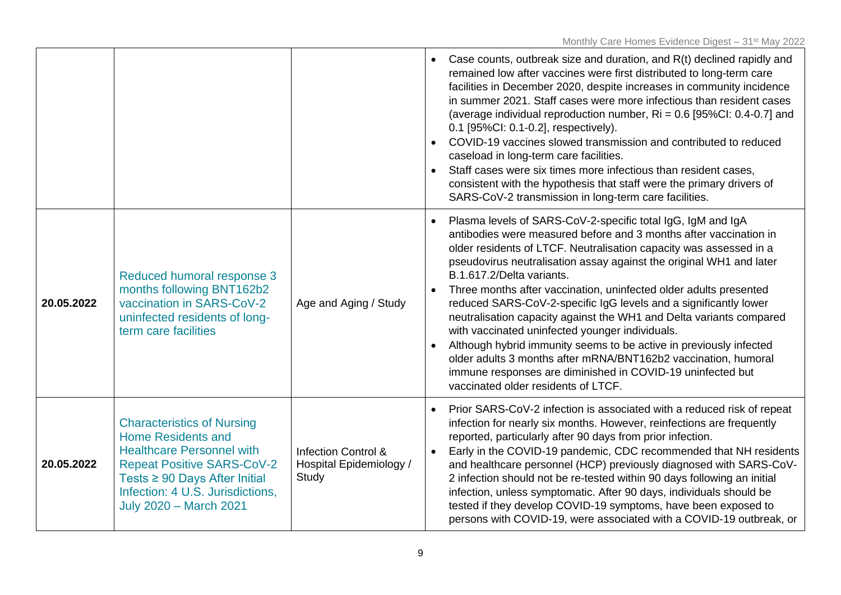|            |                                                                                                                                                                                                                                               |                                                                    | Case counts, outbreak size and duration, and R(t) declined rapidly and<br>remained low after vaccines were first distributed to long-term care<br>facilities in December 2020, despite increases in community incidence<br>in summer 2021. Staff cases were more infectious than resident cases<br>(average individual reproduction number, Ri = 0.6 [95%CI: 0.4-0.7] and<br>0.1 [95%CI: 0.1-0.2], respectively).<br>COVID-19 vaccines slowed transmission and contributed to reduced<br>$\bullet$<br>caseload in long-term care facilities.<br>Staff cases were six times more infectious than resident cases,<br>consistent with the hypothesis that staff were the primary drivers of<br>SARS-CoV-2 transmission in long-term care facilities.                                                                                                    |
|------------|-----------------------------------------------------------------------------------------------------------------------------------------------------------------------------------------------------------------------------------------------|--------------------------------------------------------------------|------------------------------------------------------------------------------------------------------------------------------------------------------------------------------------------------------------------------------------------------------------------------------------------------------------------------------------------------------------------------------------------------------------------------------------------------------------------------------------------------------------------------------------------------------------------------------------------------------------------------------------------------------------------------------------------------------------------------------------------------------------------------------------------------------------------------------------------------------|
| 20.05.2022 | Reduced humoral response 3<br>months following BNT162b2<br>vaccination in SARS-CoV-2<br>uninfected residents of long-<br>term care facilities                                                                                                 | Age and Aging / Study                                              | Plasma levels of SARS-CoV-2-specific total IgG, IgM and IgA<br>$\bullet$<br>antibodies were measured before and 3 months after vaccination in<br>older residents of LTCF. Neutralisation capacity was assessed in a<br>pseudovirus neutralisation assay against the original WH1 and later<br>B.1.617.2/Delta variants.<br>Three months after vaccination, uninfected older adults presented<br>$\bullet$<br>reduced SARS-CoV-2-specific IgG levels and a significantly lower<br>neutralisation capacity against the WH1 and Delta variants compared<br>with vaccinated uninfected younger individuals.<br>Although hybrid immunity seems to be active in previously infected<br>older adults 3 months after mRNA/BNT162b2 vaccination, humoral<br>immune responses are diminished in COVID-19 uninfected but<br>vaccinated older residents of LTCF. |
| 20.05.2022 | <b>Characteristics of Nursing</b><br><b>Home Residents and</b><br><b>Healthcare Personnel with</b><br><b>Repeat Positive SARS-CoV-2</b><br>Tests ≥ 90 Days After Initial<br>Infection: 4 U.S. Jurisdictions,<br><b>July 2020 - March 2021</b> | <b>Infection Control &amp;</b><br>Hospital Epidemiology /<br>Study | Prior SARS-CoV-2 infection is associated with a reduced risk of repeat<br>infection for nearly six months. However, reinfections are frequently<br>reported, particularly after 90 days from prior infection.<br>Early in the COVID-19 pandemic, CDC recommended that NH residents<br>$\bullet$<br>and healthcare personnel (HCP) previously diagnosed with SARS-CoV-<br>2 infection should not be re-tested within 90 days following an initial<br>infection, unless symptomatic. After 90 days, individuals should be<br>tested if they develop COVID-19 symptoms, have been exposed to<br>persons with COVID-19, were associated with a COVID-19 outbreak, or                                                                                                                                                                                     |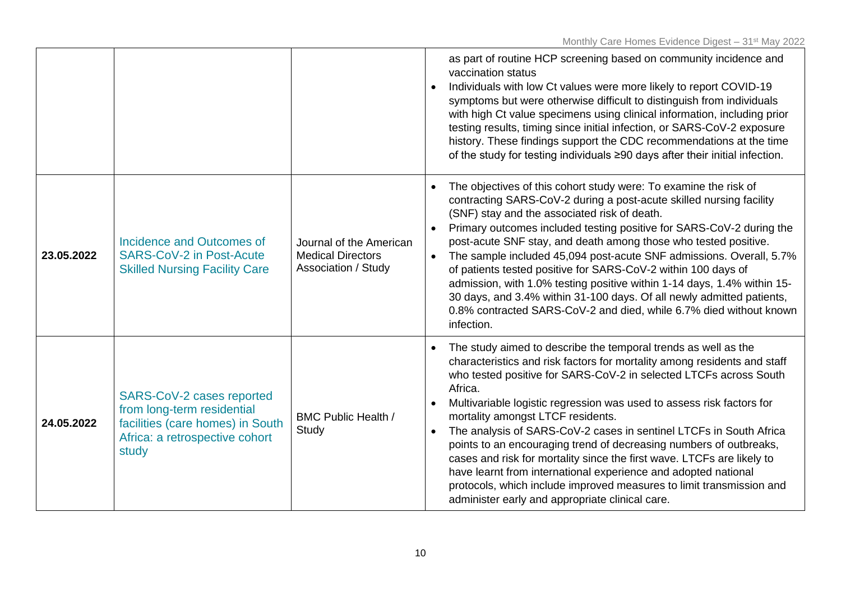|            |                                                                                                                                        |                                                                            | as part of routine HCP screening based on community incidence and<br>vaccination status<br>Individuals with low Ct values were more likely to report COVID-19<br>symptoms but were otherwise difficult to distinguish from individuals<br>with high Ct value specimens using clinical information, including prior<br>testing results, timing since initial infection, or SARS-CoV-2 exposure<br>history. These findings support the CDC recommendations at the time<br>of the study for testing individuals ≥90 days after their initial infection.                                                                                                                                                                                                                                  |
|------------|----------------------------------------------------------------------------------------------------------------------------------------|----------------------------------------------------------------------------|---------------------------------------------------------------------------------------------------------------------------------------------------------------------------------------------------------------------------------------------------------------------------------------------------------------------------------------------------------------------------------------------------------------------------------------------------------------------------------------------------------------------------------------------------------------------------------------------------------------------------------------------------------------------------------------------------------------------------------------------------------------------------------------|
| 23.05.2022 | Incidence and Outcomes of<br><b>SARS-CoV-2 in Post-Acute</b><br><b>Skilled Nursing Facility Care</b>                                   | Journal of the American<br><b>Medical Directors</b><br>Association / Study | The objectives of this cohort study were: To examine the risk of<br>contracting SARS-CoV-2 during a post-acute skilled nursing facility<br>(SNF) stay and the associated risk of death.<br>Primary outcomes included testing positive for SARS-CoV-2 during the<br>post-acute SNF stay, and death among those who tested positive.<br>The sample included 45,094 post-acute SNF admissions. Overall, 5.7%<br>$\bullet$<br>of patients tested positive for SARS-CoV-2 within 100 days of<br>admission, with 1.0% testing positive within 1-14 days, 1.4% within 15-<br>30 days, and 3.4% within 31-100 days. Of all newly admitted patients,<br>0.8% contracted SARS-CoV-2 and died, while 6.7% died without known<br>infection.                                                       |
| 24.05.2022 | SARS-CoV-2 cases reported<br>from long-term residential<br>facilities (care homes) in South<br>Africa: a retrospective cohort<br>study | <b>BMC Public Health /</b><br>Study                                        | The study aimed to describe the temporal trends as well as the<br>characteristics and risk factors for mortality among residents and staff<br>who tested positive for SARS-CoV-2 in selected LTCFs across South<br>Africa.<br>Multivariable logistic regression was used to assess risk factors for<br>$\bullet$<br>mortality amongst LTCF residents.<br>The analysis of SARS-CoV-2 cases in sentinel LTCFs in South Africa<br>$\bullet$<br>points to an encouraging trend of decreasing numbers of outbreaks,<br>cases and risk for mortality since the first wave. LTCFs are likely to<br>have learnt from international experience and adopted national<br>protocols, which include improved measures to limit transmission and<br>administer early and appropriate clinical care. |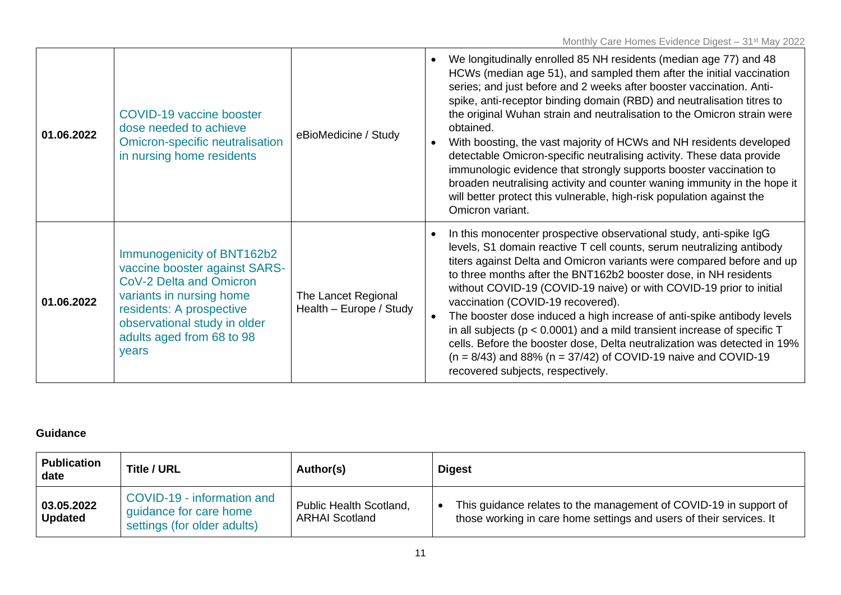| 01.06.2022 | <b>COVID-19 vaccine booster</b><br>dose needed to achieve<br><b>Omicron-specific neutralisation</b><br>in nursing home residents                                                                                     | eBioMedicine / Study                           | We longitudinally enrolled 85 NH residents (median age 77) and 48<br>HCWs (median age 51), and sampled them after the initial vaccination<br>series; and just before and 2 weeks after booster vaccination. Anti-<br>spike, anti-receptor binding domain (RBD) and neutralisation titres to<br>the original Wuhan strain and neutralisation to the Omicron strain were<br>obtained.<br>With boosting, the vast majority of HCWs and NH residents developed<br>detectable Omicron-specific neutralising activity. These data provide<br>immunologic evidence that strongly supports booster vaccination to<br>broaden neutralising activity and counter waning immunity in the hope it<br>will better protect this vulnerable, high-risk population against the<br>Omicron variant. |
|------------|----------------------------------------------------------------------------------------------------------------------------------------------------------------------------------------------------------------------|------------------------------------------------|------------------------------------------------------------------------------------------------------------------------------------------------------------------------------------------------------------------------------------------------------------------------------------------------------------------------------------------------------------------------------------------------------------------------------------------------------------------------------------------------------------------------------------------------------------------------------------------------------------------------------------------------------------------------------------------------------------------------------------------------------------------------------------|
| 01.06.2022 | Immunogenicity of BNT162b2<br>vaccine booster against SARS-<br>CoV-2 Delta and Omicron<br>variants in nursing home<br>residents: A prospective<br>observational study in older<br>adults aged from 68 to 98<br>years | The Lancet Regional<br>Health - Europe / Study | In this monocenter prospective observational study, anti-spike IgG<br>levels, S1 domain reactive T cell counts, serum neutralizing antibody<br>titers against Delta and Omicron variants were compared before and up<br>to three months after the BNT162b2 booster dose, in NH residents<br>without COVID-19 (COVID-19 naive) or with COVID-19 prior to initial<br>vaccination (COVID-19 recovered).<br>The booster dose induced a high increase of anti-spike antibody levels<br>in all subjects ( $p < 0.0001$ ) and a mild transient increase of specific T<br>cells. Before the booster dose, Delta neutralization was detected in 19%<br>$(n = 8/43)$ and 88% $(n = 37/42)$ of COVID-19 naive and COVID-19<br>recovered subjects, respectively.                               |

### **Guidance**

| <b>Publication</b><br>date   | <b>Title / URL</b>                                                                  | Author(s)                                        | <b>Digest</b>                                                                                                                            |
|------------------------------|-------------------------------------------------------------------------------------|--------------------------------------------------|------------------------------------------------------------------------------------------------------------------------------------------|
| 03.05.2022<br><b>Updated</b> | COVID-19 - information and<br>quidance for care home<br>settings (for older adults) | Public Health Scotland,<br><b>ARHAI Scotland</b> | This guidance relates to the management of COVID-19 in support of<br>those working in care home settings and users of their services. It |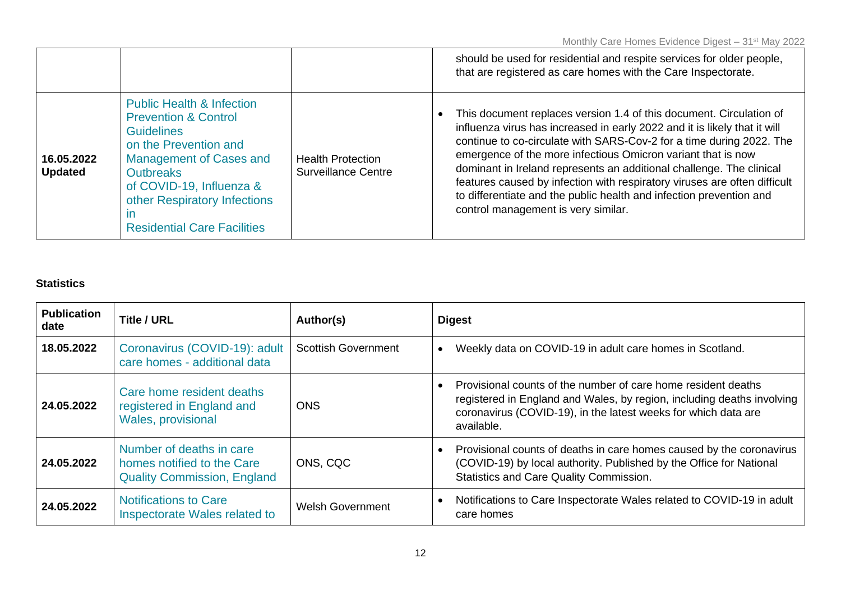|                              |                                                                                                                                                                                                                                                                                        |                                                        | should be used for residential and respite services for older people,<br>that are registered as care homes with the Care Inspectorate.                                                                                                                                                                                                                                                                                                                                                                                                                      |
|------------------------------|----------------------------------------------------------------------------------------------------------------------------------------------------------------------------------------------------------------------------------------------------------------------------------------|--------------------------------------------------------|-------------------------------------------------------------------------------------------------------------------------------------------------------------------------------------------------------------------------------------------------------------------------------------------------------------------------------------------------------------------------------------------------------------------------------------------------------------------------------------------------------------------------------------------------------------|
| 16.05.2022<br><b>Updated</b> | <b>Public Health &amp; Infection</b><br><b>Prevention &amp; Control</b><br><b>Guidelines</b><br>on the Prevention and<br>Management of Cases and<br><b>Outbreaks</b><br>of COVID-19, Influenza &<br>other Respiratory Infections<br>$\mathsf{I}$<br><b>Residential Care Facilities</b> | <b>Health Protection</b><br><b>Surveillance Centre</b> | This document replaces version 1.4 of this document. Circulation of<br>influenza virus has increased in early 2022 and it is likely that it will<br>continue to co-circulate with SARS-Cov-2 for a time during 2022. The<br>emergence of the more infectious Omicron variant that is now<br>dominant in Ireland represents an additional challenge. The clinical<br>features caused by infection with respiratory viruses are often difficult<br>to differentiate and the public health and infection prevention and<br>control management is very similar. |

## **Statistics**

| <b>Publication</b><br>date | <b>Title / URL</b>                                                                           | Author(s)                  | <b>Digest</b>                                                                                                                                                                                                           |
|----------------------------|----------------------------------------------------------------------------------------------|----------------------------|-------------------------------------------------------------------------------------------------------------------------------------------------------------------------------------------------------------------------|
| 18.05.2022                 | Coronavirus (COVID-19): adult<br>care homes - additional data                                | <b>Scottish Government</b> | Weekly data on COVID-19 in adult care homes in Scotland.                                                                                                                                                                |
| 24.05.2022                 | Care home resident deaths<br>registered in England and<br>Wales, provisional                 | <b>ONS</b>                 | Provisional counts of the number of care home resident deaths<br>registered in England and Wales, by region, including deaths involving<br>coronavirus (COVID-19), in the latest weeks for which data are<br>available. |
| 24.05.2022                 | Number of deaths in care<br>homes notified to the Care<br><b>Quality Commission, England</b> | ONS, CQC                   | Provisional counts of deaths in care homes caused by the coronavirus<br>(COVID-19) by local authority. Published by the Office for National<br>Statistics and Care Quality Commission.                                  |
| 24.05.2022                 | <b>Notifications to Care</b><br>Inspectorate Wales related to                                | <b>Welsh Government</b>    | Notifications to Care Inspectorate Wales related to COVID-19 in adult<br>care homes                                                                                                                                     |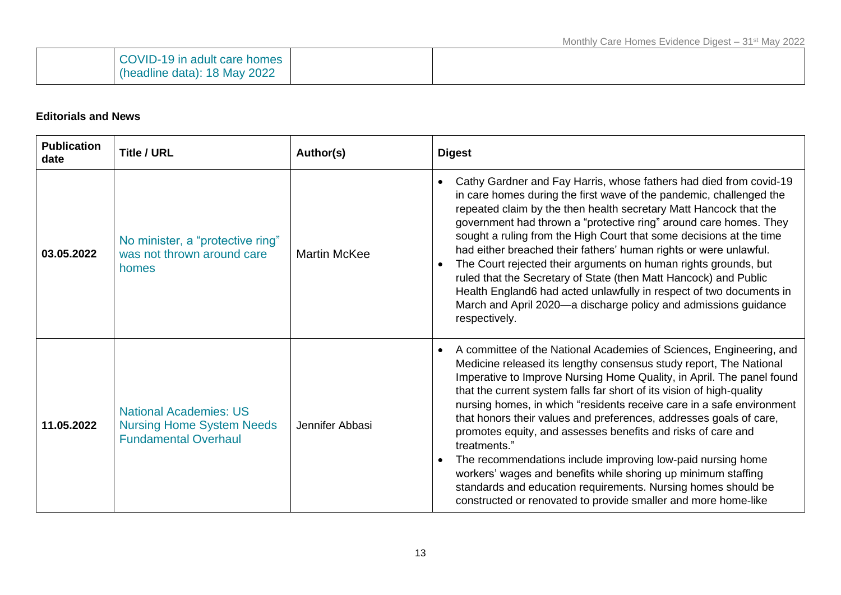| COVID-19 in adult care homes |  |  |
|------------------------------|--|--|
| (headline data): 18 May 2022 |  |  |

### **Editorials and News**

| <b>Publication</b><br>date | <b>Title / URL</b>                                                                               | Author(s)           | <b>Digest</b>                                                                                                                                                                                                                                                                                                                                                                                                                                                                                                                                                                                                                                                                                                                                                                                                           |  |
|----------------------------|--------------------------------------------------------------------------------------------------|---------------------|-------------------------------------------------------------------------------------------------------------------------------------------------------------------------------------------------------------------------------------------------------------------------------------------------------------------------------------------------------------------------------------------------------------------------------------------------------------------------------------------------------------------------------------------------------------------------------------------------------------------------------------------------------------------------------------------------------------------------------------------------------------------------------------------------------------------------|--|
| 03.05.2022                 | No minister, a "protective ring"<br>was not thrown around care<br>homes                          | <b>Martin McKee</b> | Cathy Gardner and Fay Harris, whose fathers had died from covid-19<br>$\bullet$<br>in care homes during the first wave of the pandemic, challenged the<br>repeated claim by the then health secretary Matt Hancock that the<br>government had thrown a "protective ring" around care homes. They<br>sought a ruling from the High Court that some decisions at the time<br>had either breached their fathers' human rights or were unlawful.<br>The Court rejected their arguments on human rights grounds, but<br>$\bullet$<br>ruled that the Secretary of State (then Matt Hancock) and Public<br>Health England6 had acted unlawfully in respect of two documents in<br>March and April 2020—a discharge policy and admissions guidance<br>respectively.                                                             |  |
| 11.05.2022                 | <b>National Academies: US</b><br><b>Nursing Home System Needs</b><br><b>Fundamental Overhaul</b> | Jennifer Abbasi     | A committee of the National Academies of Sciences, Engineering, and<br>$\bullet$<br>Medicine released its lengthy consensus study report, The National<br>Imperative to Improve Nursing Home Quality, in April. The panel found<br>that the current system falls far short of its vision of high-quality<br>nursing homes, in which "residents receive care in a safe environment<br>that honors their values and preferences, addresses goals of care,<br>promotes equity, and assesses benefits and risks of care and<br>treatments."<br>The recommendations include improving low-paid nursing home<br>$\bullet$<br>workers' wages and benefits while shoring up minimum staffing<br>standards and education requirements. Nursing homes should be<br>constructed or renovated to provide smaller and more home-like |  |